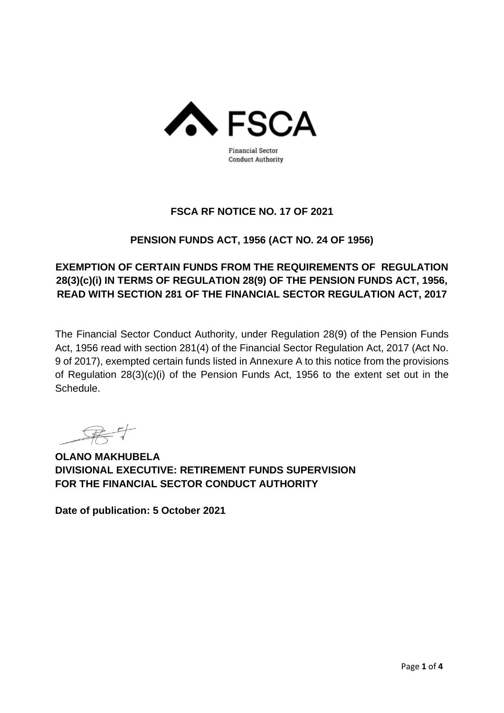

### **FSCA RF NOTICE NO. 17 OF 2021**

## **PENSION FUNDS ACT, 1956 (ACT NO. 24 OF 1956)**

# **EXEMPTION OF CERTAIN FUNDS FROM THE REQUIREMENTS OF REGULATION 28(3)(c)(i) IN TERMS OF REGULATION 28(9) OF THE PENSION FUNDS ACT, 1956, READ WITH SECTION 281 OF THE FINANCIAL SECTOR REGULATION ACT, 2017**

The Financial Sector Conduct Authority, under Regulation 28(9) of the Pension Funds Act, 1956 read with section 281(4) of the Financial Sector Regulation Act, 2017 (Act No. 9 of 2017), exempted certain funds listed in Annexure A to this notice from the provisions of Regulation 28(3)(c)(i) of the Pension Funds Act, 1956 to the extent set out in the Schedule.

**OLANO MAKHUBELA DIVISIONAL EXECUTIVE: RETIREMENT FUNDS SUPERVISION FOR THE FINANCIAL SECTOR CONDUCT AUTHORITY**

**Date of publication: 5 October 2021**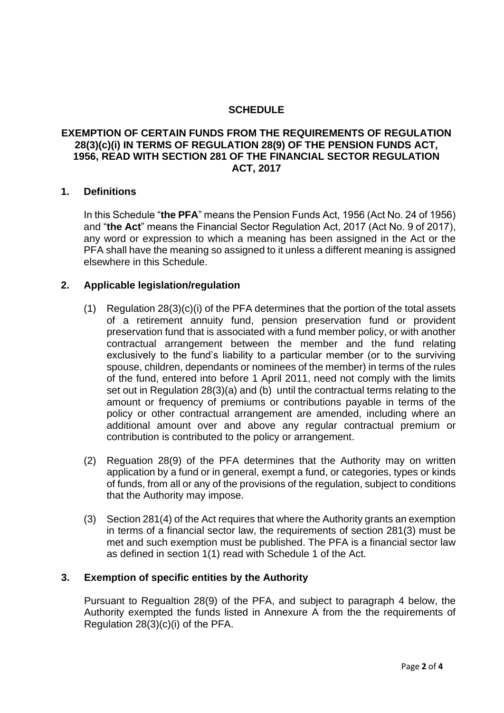### **SCHEDULE**

### **EXEMPTION OF CERTAIN FUNDS FROM THE REQUIREMENTS OF REGULATION 28(3)(c)(i) IN TERMS OF REGULATION 28(9) OF THE PENSION FUNDS ACT, 1956, READ WITH SECTION 281 OF THE FINANCIAL SECTOR REGULATION ACT, 2017**

#### **1. Definitions**

In this Schedule "**the PFA**" means the Pension Funds Act, 1956 (Act No. 24 of 1956) and "**the Act**" means the Financial Sector Regulation Act, 2017 (Act No. 9 of 2017), any word or expression to which a meaning has been assigned in the Act or the PFA shall have the meaning so assigned to it unless a different meaning is assigned elsewhere in this Schedule.

#### **2. Applicable legislation/regulation**

- (1) Regulation 28(3)(c)(i) of the PFA determines that the portion of the total assets of a retirement annuity fund, pension preservation fund or provident preservation fund that is associated with a fund member policy, or with another contractual arrangement between the member and the fund relating exclusively to the fund's liability to a particular member (or to the surviving spouse, children, dependants or nominees of the member) in terms of the rules of the fund, entered into before 1 April 2011, need not comply with the limits set out in Regulation 28(3)(a) and (b) until the contractual terms relating to the amount or frequency of premiums or contributions payable in terms of the policy or other contractual arrangement are amended, including where an additional amount over and above any regular contractual premium or contribution is contributed to the policy or arrangement.
- (2) Reguation 28(9) of the PFA determines that the Authority may on written application by a fund or in general, exempt a fund, or categories, types or kinds of funds, from all or any of the provisions of the regulation, subject to conditions that the Authority may impose.
- (3) Section 281(4) of the Act requires that where the Authority grants an exemption in terms of a financial sector law, the requirements of section 281(3) must be met and such exemption must be published. The PFA is a financial sector law as defined in section 1(1) read with Schedule 1 of the Act.

#### **3. Exemption of specific entities by the Authority**

Pursuant to Regualtion 28(9) of the PFA, and subject to paragraph 4 below, the Authority exempted the funds listed in Annexure A from the the requirements of Regulation 28(3)(c)(i) of the PFA.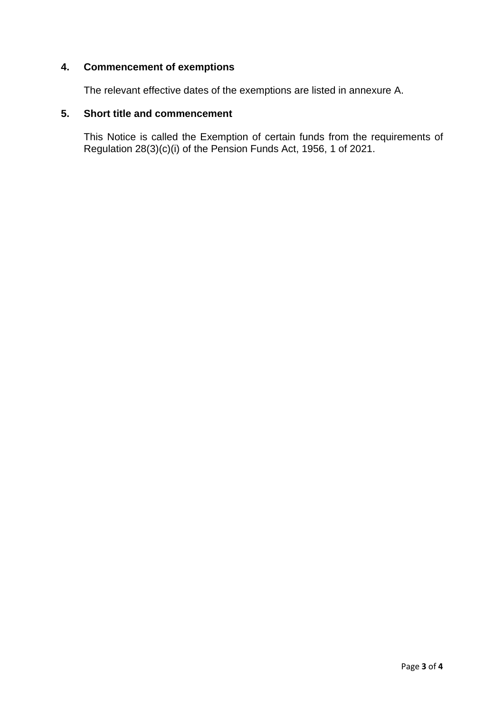### **4. Commencement of exemptions**

The relevant effective dates of the exemptions are listed in annexure A.

#### **5. Short title and commencement**

This Notice is called the Exemption of certain funds from the requirements of Regulation 28(3)(c)(i) of the Pension Funds Act, 1956, 1 of 2021.